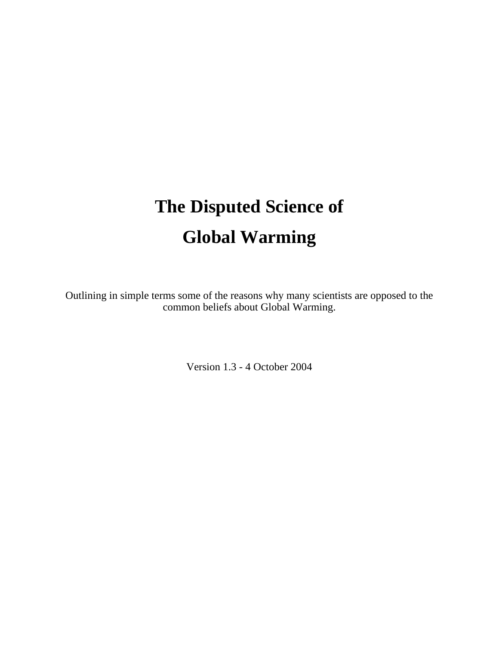# **The Disputed Science of Global Warming**

Outlining in simple terms some of the reasons why many scientists are opposed to the common beliefs about Global Warming.

Version 1.3 - 4 October 2004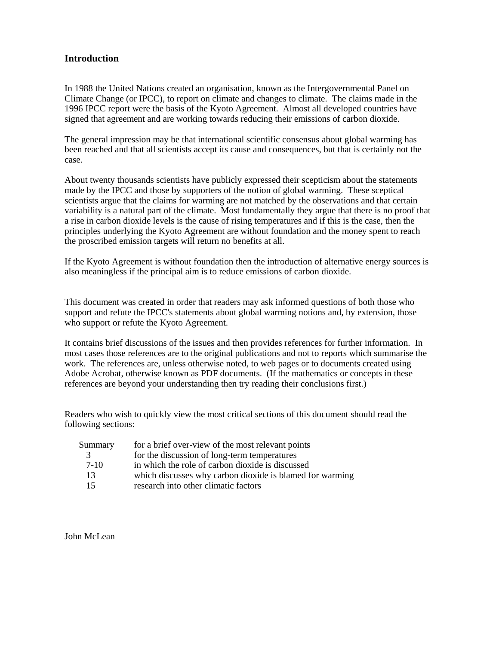# **Introduction**

In 1988 the United Nations created an organisation, known as the Intergovernmental Panel on Climate Change (or IPCC), to report on climate and changes to climate. The claims made in the 1996 IPCC report were the basis of the Kyoto Agreement. Almost all developed countries have signed that agreement and are working towards reducing their emissions of carbon dioxide.

The general impression may be that international scientific consensus about global warming has been reached and that all scientists accept its cause and consequences, but that is certainly not the case.

About twenty thousands scientists have publicly expressed their scepticism about the statements made by the IPCC and those by supporters of the notion of global warming. These sceptical scientists argue that the claims for warming are not matched by the observations and that certain variability is a natural part of the climate. Most fundamentally they argue that there is no proof that a rise in carbon dioxide levels is the cause of rising temperatures and if this is the case, then the principles underlying the Kyoto Agreement are without foundation and the money spent to reach the proscribed emission targets will return no benefits at all.

If the Kyoto Agreement is without foundation then the introduction of alternative energy sources is also meaningless if the principal aim is to reduce emissions of carbon dioxide.

This document was created in order that readers may ask informed questions of both those who support and refute the IPCC's statements about global warming notions and, by extension, those who support or refute the Kyoto Agreement.

It contains brief discussions of the issues and then provides references for further information. In most cases those references are to the original publications and not to reports which summarise the work. The references are, unless otherwise noted, to web pages or to documents created using Adobe Acrobat, otherwise known as PDF documents. (If the mathematics or concepts in these references are beyond your understanding then try reading their conclusions first.)

Readers who wish to quickly view the most critical sections of this document should read the following sections:

| Summary       | for a brief over-view of the most relevant points        |
|---------------|----------------------------------------------------------|
| $\mathcal{R}$ | for the discussion of long-term temperatures             |
| $7-10$        | in which the role of carbon dioxide is discussed         |
| 13            | which discusses why carbon dioxide is blamed for warming |
| 15            | research into other climatic factors                     |

John McLean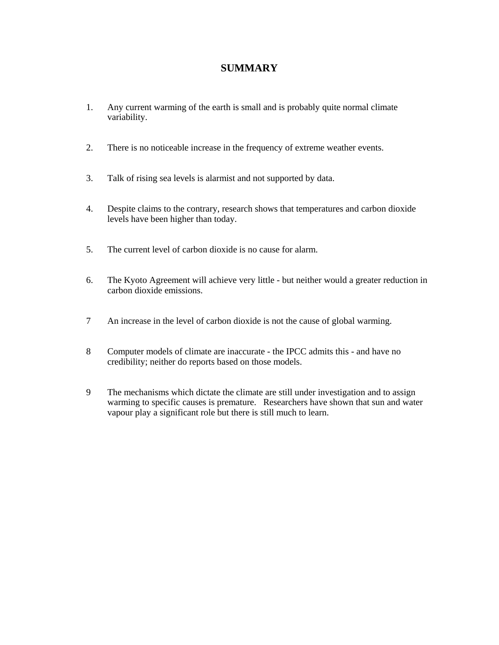# **SUMMARY**

- 1. Any current warming of the earth is small and is probably quite normal climate variability.
- 2. There is no noticeable increase in the frequency of extreme weather events.
- 3. Talk of rising sea levels is alarmist and not supported by data.
- 4. Despite claims to the contrary, research shows that temperatures and carbon dioxide levels have been higher than today.
- 5. The current level of carbon dioxide is no cause for alarm.
- 6. The Kyoto Agreement will achieve very little but neither would a greater reduction in carbon dioxide emissions.
- 7 An increase in the level of carbon dioxide is not the cause of global warming.
- 8 Computer models of climate are inaccurate the IPCC admits this and have no credibility; neither do reports based on those models.
- 9 The mechanisms which dictate the climate are still under investigation and to assign warming to specific causes is premature. Researchers have shown that sun and water vapour play a significant role but there is still much to learn.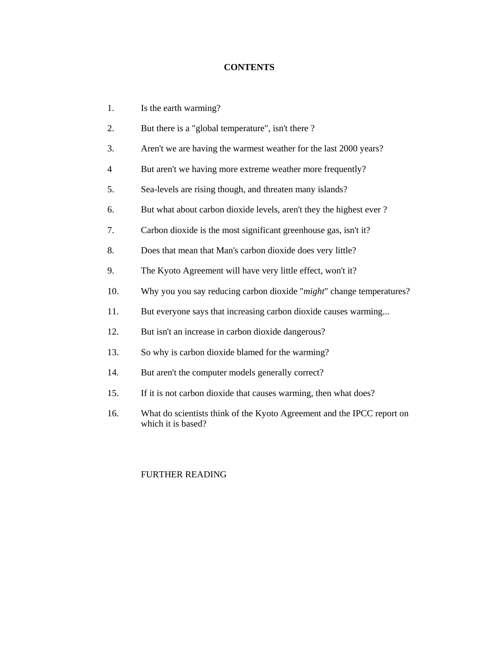# **CONTENTS**

| 1.  | Is the earth warming?                                                                        |
|-----|----------------------------------------------------------------------------------------------|
| 2.  | But there is a "global temperature", isn't there?                                            |
| 3.  | Aren't we are having the warmest weather for the last 2000 years?                            |
| 4   | But aren't we having more extreme weather more frequently?                                   |
| 5.  | Sea-levels are rising though, and threaten many islands?                                     |
| 6.  | But what about carbon dioxide levels, aren't they the highest ever?                          |
| 7.  | Carbon dioxide is the most significant greenhouse gas, isn't it?                             |
| 8.  | Does that mean that Man's carbon dioxide does very little?                                   |
| 9.  | The Kyoto Agreement will have very little effect, won't it?                                  |
| 10. | Why you you say reducing carbon dioxide "might" change temperatures?                         |
| 11. | But everyone says that increasing carbon dioxide causes warming                              |
| 12. | But isn't an increase in carbon dioxide dangerous?                                           |
| 13. | So why is carbon dioxide blamed for the warming?                                             |
| 14. | But aren't the computer models generally correct?                                            |
| 15. | If it is not carbon dioxide that causes warming, then what does?                             |
| 16. | What do scientists think of the Kyoto Agreement and the IPCC report on<br>which it is based? |

# FURTHER READING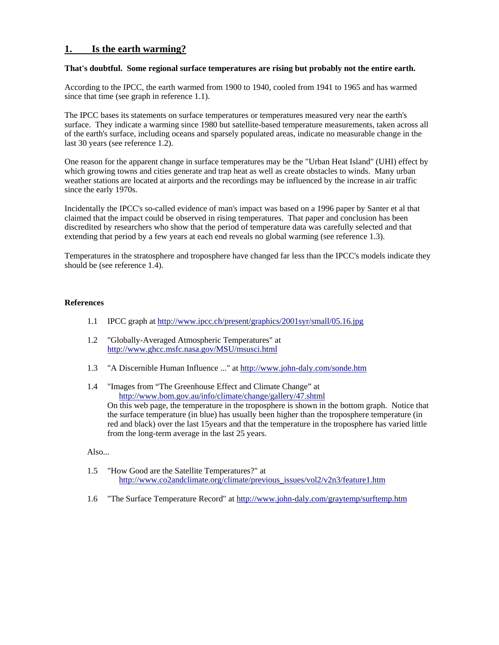# **1. Is the earth warming?**

#### **That's doubtful. Some regional surface temperatures are rising but probably not the entire earth.**

According to the IPCC, the earth warmed from 1900 to 1940, cooled from 1941 to 1965 and has warmed since that time (see graph in reference 1.1).

The IPCC bases its statements on surface temperatures or temperatures measured very near the earth's surface. They indicate a warming since 1980 but satellite-based temperature measurements, taken across all of the earth's surface, including oceans and sparsely populated areas, indicate no measurable change in the last 30 years (see reference 1.2).

One reason for the apparent change in surface temperatures may be the "Urban Heat Island" (UHI) effect by which growing towns and cities generate and trap heat as well as create obstacles to winds. Many urban weather stations are located at airports and the recordings may be influenced by the increase in air traffic since the early 1970s.

Incidentally the IPCC's so-called evidence of man's impact was based on a 1996 paper by Santer et al that claimed that the impact could be observed in rising temperatures. That paper and conclusion has been discredited by researchers who show that the period of temperature data was carefully selected and that extending that period by a few years at each end reveals no global warming (see reference 1.3).

Temperatures in the stratosphere and troposphere have changed far less than the IPCC's models indicate they should be (see reference 1.4).

#### **References**

- 1.1 IPCC graph at<http://www.ipcc.ch/present/graphics/2001syr/small/05.16.jpg>
- 1.2 "Globally-Averaged Atmospheric Temperatures" at <http://www.ghcc.msfc.nasa.gov/MSU/msusci.html>
- 1.3 "A Discernible Human Influence ..." at<http://www.john-daly.com/sonde.htm>
- 1.4 "Images from "The Greenhouse Effect and Climate Change" at <http://www.bom.gov.au/info/climate/change/gallery/47.shtml> On this web page, the temperature in the troposphere is shown in the bottom graph. Notice that the surface temperature (in blue) has usually been higher than the troposphere temperature (in red and black) over the last 15years and that the temperature in the troposphere has varied little from the long-term average in the last 25 years.

#### Also...

- 1.5 "How Good are the Satellite Temperatures?" at [http://www.co2andclimate.org/climate/previous\\_issues/vol2/v2n3/feature1.htm](http://www.co2andclimate.org/climate/previous_issues/vol2/v2n3/feature1.htm)
- 1.6 "The Surface Temperature Record" at<http://www.john-daly.com/graytemp/surftemp.htm>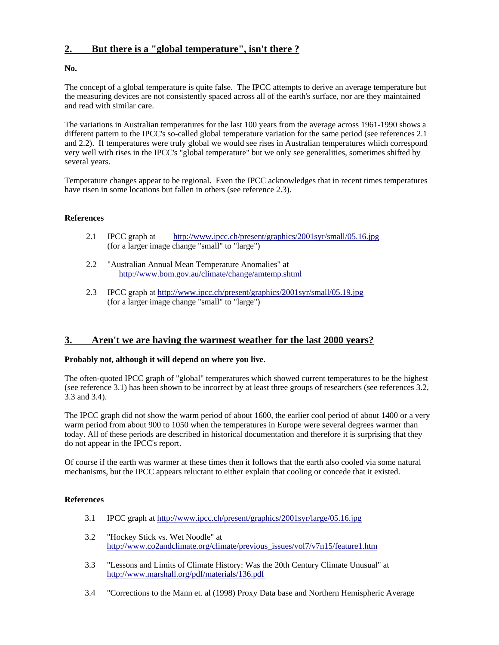# **2. But there is a "global temperature", isn't there ?**

## **No.**

The concept of a global temperature is quite false. The IPCC attempts to derive an average temperature but the measuring devices are not consistently spaced across all of the earth's surface, nor are they maintained and read with similar care.

The variations in Australian temperatures for the last 100 years from the average across 1961-1990 shows a different pattern to the IPCC's so-called global temperature variation for the same period (see references 2.1 and 2.2). If temperatures were truly global we would see rises in Australian temperatures which correspond very well with rises in the IPCC's "global temperature" but we only see generalities, sometimes shifted by several years.

Temperature changes appear to be regional. Even the IPCC acknowledges that in recent times temperatures have risen in some locations but fallen in others (see reference 2.3).

## **References**

- 2.1 IPCC graph at <http://www.ipcc.ch/present/graphics/2001syr/small/05.16.jpg> (for a larger image change "small" to "large")
- 2.2 "Australian Annual Mean Temperature Anomalies" at <http://www.bom.gov.au/climate/change/amtemp.shtml>
- 2.3 IPCC graph at<http://www.ipcc.ch/present/graphics/2001syr/small/05.19.jpg> (for a larger image change "small" to "large")

# **3. Aren't we are having the warmest weather for the last 2000 years?**

#### **Probably not, although it will depend on where you live.**

The often-quoted IPCC graph of "global" temperatures which showed current temperatures to be the highest (see reference 3.1) has been shown to be incorrect by at least three groups of researchers (see references 3.2, 3.3 and 3.4).

The IPCC graph did not show the warm period of about 1600, the earlier cool period of about 1400 or a very warm period from about 900 to 1050 when the temperatures in Europe were several degrees warmer than today. All of these periods are described in historical documentation and therefore it is surprising that they do not appear in the IPCC's report.

Of course if the earth was warmer at these times then it follows that the earth also cooled via some natural mechanisms, but the IPCC appears reluctant to either explain that cooling or concede that it existed.

#### **References**

- 3.1 IPCC graph at <http://www.ipcc.ch/present/graphics/2001syr/large/05.16.jpg>
- 3.2 "Hockey Stick vs. Wet Noodle" at [http://www.co2andclimate.org/climate/previous\\_issues/vol7/v7n15/feature1.htm](http://www.co2andclimate.org/climate/previous_issues/vol7/v7n15/feature1.htm)
- 3.3 "Lessons and Limits of Climate History: Was the 20th Century Climate Unusual" at <http://www.marshall.org/pdf/materials/136.pdf>
- 3.4 "Corrections to the Mann et. al (1998) Proxy Data base and Northern Hemispheric Average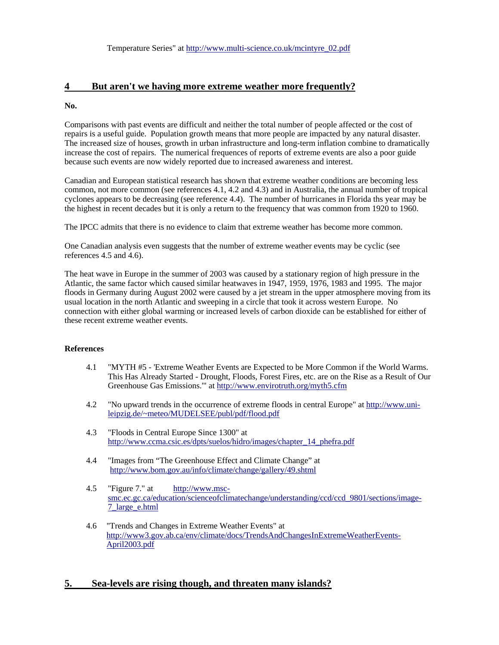# **4 But aren't we having more extreme weather more frequently?**

#### **No.**

Comparisons with past events are difficult and neither the total number of people affected or the cost of repairs is a useful guide. Population growth means that more people are impacted by any natural disaster. The increased size of houses, growth in urban infrastructure and long-term inflation combine to dramatically increase the cost of repairs. The numerical frequences of reports of extreme events are also a poor guide because such events are now widely reported due to increased awareness and interest.

Canadian and European statistical research has shown that extreme weather conditions are becoming less common, not more common (see references 4.1, 4.2 and 4.3) and in Australia, the annual number of tropical cyclones appears to be decreasing (see reference 4.4). The number of hurricanes in Florida ths year may be the highest in recent decades but it is only a return to the frequency that was common from 1920 to 1960.

The IPCC admits that there is no evidence to claim that extreme weather has become more common.

One Canadian analysis even suggests that the number of extreme weather events may be cyclic (see references 4.5 and 4.6).

The heat wave in Europe in the summer of 2003 was caused by a stationary region of high pressure in the Atlantic, the same factor which caused similar heatwaves in 1947, 1959, 1976, 1983 and 1995. The major floods in Germany during August 2002 were caused by a jet stream in the upper atmosphere moving from its usual location in the north Atlantic and sweeping in a circle that took it across western Europe. No connection with either global warming or increased levels of carbon dioxide can be established for either of these recent extreme weather events.

#### **References**

- 4.1 "MYTH #5 'Extreme Weather Events are Expected to be More Common if the World Warms. This Has Already Started - Drought, Floods, Forest Fires, etc. are on the Rise as a Result of Our Greenhouse Gas Emissions.'" at<http://www.envirotruth.org/myth5.cfm>
- 4.2 ["No upward trends in the occurrence of extreme floods in central Europe" at http://www.uni](http://www.uni-leipzig)leipzig.de/~meteo/MUDELSEE/publ/pdf/flood.pdf
- 4.3 "Floods in Central Europe Since 1300" at [http://www.ccma.csic.es/dpts/suelos/hidro/images/chapter\\_14\\_phefra.pdf](http://www.ccma.csic.es/dpts/suelos/hidro/images/chapter_14_phefra.pdf)
- 4.4 "Images from "The Greenhouse Effect and Climate Change" at <http://www.bom.gov.au/info/climate/change/gallery/49.shtml>
- 4.5 ["Figure 7." at http://www.msc](http://www.msc-smc)smc.ec.gc.ca/education/scienceofclimatechange/understanding/ccd/ccd\_9801/sections/image-7\_large\_e.html
- 4.6 "Trends and Changes in Extreme Weather Events" at <http://www3.gov.ab.ca/env/climate/docs/TrendsAndChangesInExtremeWeatherEvents->April2003.pdf

# **5. Sea-levels are rising though, and threaten many islands?**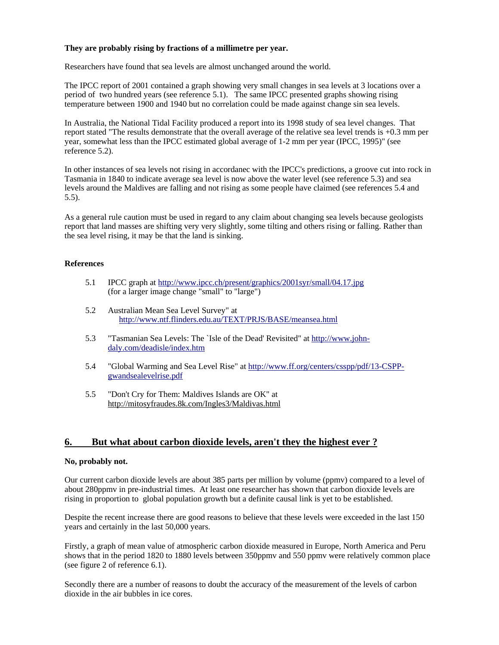#### **They are probably rising by fractions of a millimetre per year.**

Researchers have found that sea levels are almost unchanged around the world.

The IPCC report of 2001 contained a graph showing very small changes in sea levels at 3 locations over a period of two hundred years (see reference 5.1). The same IPCC presented graphs showing rising temperature between 1900 and 1940 but no correlation could be made against change sin sea levels.

In Australia, the National Tidal Facility produced a report into its 1998 study of sea level changes. That report stated "The results demonstrate that the overall average of the relative sea level trends is +0.3 mm per year, somewhat less than the IPCC estimated global average of 1-2 mm per year (IPCC, 1995)" (see reference 5.2).

In other instances of sea levels not rising in accordanec with the IPCC's predictions, a groove cut into rock in Tasmania in 1840 to indicate average sea level is now above the water level (see reference 5.3) and sea levels around the Maldives are falling and not rising as some people have claimed (see references 5.4 and 5.5).

As a general rule caution must be used in regard to any claim about changing sea levels because geologists report that land masses are shifting very very slightly, some tilting and others rising or falling. Rather than the sea level rising, it may be that the land is sinking.

#### **References**

- 5.1 IPCC graph at<http://www.ipcc.ch/present/graphics/2001syr/small/04.17.jpg> (for a larger image change "small" to "large")
- 5.2 Australian Mean Sea Level Survey" at <http://www.ntf.flinders.edu.au/TEXT/PRJS/BASE/meansea.html>
- 5.3 ["Tasmanian Sea Levels: The `Isle of the Dead' Revisited" at http://www.john](http://www.john-daly)daly.com/deadisle/index.htm
- 5.4 ["Global Warming and Sea Level Rise" at http://www.ff.org/centers/csspp/pdf/13-CSPP](http://www.ff.org/centers/csspp/pdf/13-CSPP-gwandsealevelrise)gwandsealevelrise.pdf
- 5.5 "Don't Cry for Them: Maldives Islands are OK" at <http://mitosyfraudes.8k.com/Ingles3/Maldivas.html>

# **6. But what about carbon dioxide levels, aren't they the highest ever ?**

#### **No, probably not.**

Our current carbon dioxide levels are about 385 parts per million by volume (ppmv) compared to a level of about 280ppmv in pre-industrial times. At least one researcher has shown that carbon dioxide levels are rising in proportion to global population growth but a definite causal link is yet to be established.

Despite the recent increase there are good reasons to believe that these levels were exceeded in the last 150 years and certainly in the last 50,000 years.

Firstly, a graph of mean value of atmospheric carbon dioxide measured in Europe, North America and Peru shows that in the period 1820 to 1880 levels between 350ppmv and 550 ppmv were relatively common place (see figure 2 of reference 6.1).

Secondly there are a number of reasons to doubt the accuracy of the measurement of the levels of carbon dioxide in the air bubbles in ice cores.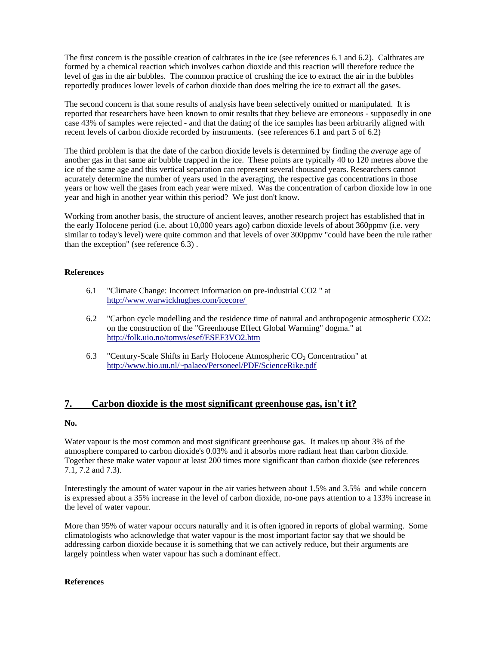The first concern is the possible creation of calthrates in the ice (see references 6.1 and 6.2). Calthrates are formed by a chemical reaction which involves carbon dioxide and this reaction will therefore reduce the level of gas in the air bubbles. The common practice of crushing the ice to extract the air in the bubbles reportedly produces lower levels of carbon dioxide than does melting the ice to extract all the gases.

The second concern is that some results of analysis have been selectively omitted or manipulated. It is reported that researchers have been known to omit results that they believe are erroneous - supposedly in one case 43% of samples were rejected - and that the dating of the ice samples has been arbitrarily aligned with recent levels of carbon dioxide recorded by instruments. (see references 6.1 and part 5 of 6.2)

The third problem is that the date of the carbon dioxide levels is determined by finding the *average* age of another gas in that same air bubble trapped in the ice. These points are typically 40 to 120 metres above the ice of the same age and this vertical separation can represent several thousand years. Researchers cannot acurately determine the number of years used in the averaging, the respective gas concentrations in those years or how well the gases from each year were mixed. Was the concentration of carbon dioxide low in one year and high in another year within this period? We just don't know.

Working from another basis, the structure of ancient leaves, another research project has established that in the early Holocene period (i.e. about 10,000 years ago) carbon dioxide levels of about 360ppmv (i.e. very similar to today's level) were quite common and that levels of over 300ppmv "could have been the rule rather than the exception" (see reference 6.3) .

#### **References**

- 6.1 "Climate Change: Incorrect information on pre-industrial CO2 " at <http://www.warwickhughes.com/icecore/>
- 6.2 "Carbon cycle modelling and the residence time of natural and anthropogenic atmospheric CO2: on the construction of the "Greenhouse Effect Global Warming" dogma." at <http://folk.uio.no/tomvs/esef/ESEF3VO2.htm>
- 6.3 "Century-Scale Shifts in Early Holocene Atmospheric  $CO<sub>2</sub>$  Concentration" at <http://www.bio.uu.nl/~palaeo/Personeel/PDF/ScienceRike.pdf>

# **7. Carbon dioxide is the most significant greenhouse gas, isn't it?**

#### **No.**

Water vapour is the most common and most significant greenhouse gas. It makes up about 3% of the atmosphere compared to carbon dioxide's 0.03% and it absorbs more radiant heat than carbon dioxide. Together these make water vapour at least 200 times more significant than carbon dioxide (see references 7.1, 7.2 and 7.3).

Interestingly the amount of water vapour in the air varies between about 1.5% and 3.5% and while concern is expressed about a 35% increase in the level of carbon dioxide, no-one pays attention to a 133% increase in the level of water vapour.

More than 95% of water vapour occurs naturally and it is often ignored in reports of global warming. Some climatologists who acknowledge that water vapour is the most important factor say that we should be addressing carbon dioxide because it is something that we can actively reduce, but their arguments are largely pointless when water vapour has such a dominant effect.

#### **References**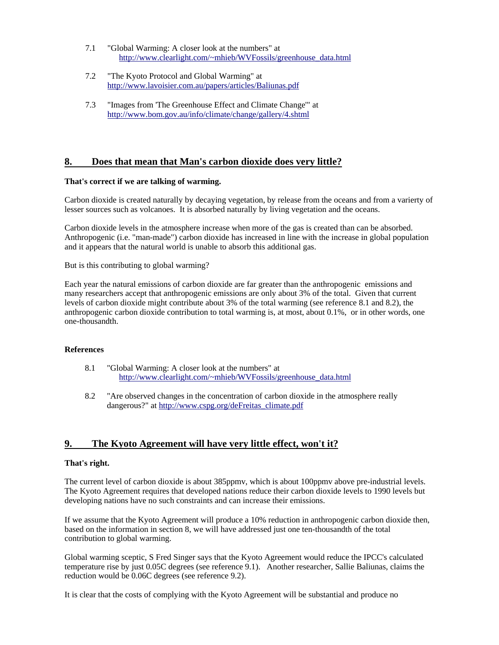- 7.1 "Global Warming: A closer look at the numbers" at [http://www.clearlight.com/~mhieb/WVFossils/greenhouse\\_data.html](http://www.clearlight.com/~mhieb/WVFossils/greenhouse_data.html)
- 7.2 "The Kyoto Protocol and Global Warming" at <http://www.lavoisier.com.au/papers/articles/Baliunas.pdf>
- 7.3 "Images from 'The Greenhouse Effect and Climate Change'" at <http://www.bom.gov.au/info/climate/change/gallery/4.shtml>

# **8. Does that mean that Man's carbon dioxide does very little?**

#### **That's correct if we are talking of warming.**

Carbon dioxide is created naturally by decaying vegetation, by release from the oceans and from a varierty of lesser sources such as volcanoes. It is absorbed naturally by living vegetation and the oceans.

Carbon dioxide levels in the atmosphere increase when more of the gas is created than can be absorbed. Anthropogenic (i.e. "man-made") carbon dioxide has increased in line with the increase in global population and it appears that the natural world is unable to absorb this additional gas.

But is this contributing to global warming?

Each year the natural emissions of carbon dioxide are far greater than the anthropogenic emissions and many researchers accept that anthropogenic emissions are only about 3% of the total. Given that current levels of carbon dioxide might contribute about 3% of the total warming (see reference 8.1 and 8.2), the anthropogenic carbon dioxide contribution to total warming is, at most, about 0.1%, or in other words, one one-thousandth.

#### **References**

- 8.1 "Global Warming: A closer look at the numbers" at [http://www.clearlight.com/~mhieb/WVFossils/greenhouse\\_data.html](http://www.clearlight.com/~mhieb/WVFossils/greenhouse_data.html)
- 8.2 "Are observed changes in the concentration of carbon dioxide in the atmosphere really dangerous?" at [http://www.cspg.org/deFreitas\\_climate.pdf](http://www.cspg.org/deFreitas_climate.pdf)

# **9. The Kyoto Agreement will have very little effect, won't it?**

#### **That's right.**

The current level of carbon dioxide is about 385ppmv, which is about 100ppmv above pre-industrial levels. The Kyoto Agreement requires that developed nations reduce their carbon dioxide levels to 1990 levels but developing nations have no such constraints and can increase their emissions.

If we assume that the Kyoto Agreement will produce a 10% reduction in anthropogenic carbon dioxide then, based on the information in section 8, we will have addressed just one ten-thousandth of the total contribution to global warming.

Global warming sceptic, S Fred Singer says that the Kyoto Agreement would reduce the IPCC's calculated temperature rise by just 0.05C degrees (see reference 9.1). Another researcher, Sallie Baliunas, claims the reduction would be 0.06C degrees (see reference 9.2).

It is clear that the costs of complying with the Kyoto Agreement will be substantial and produce no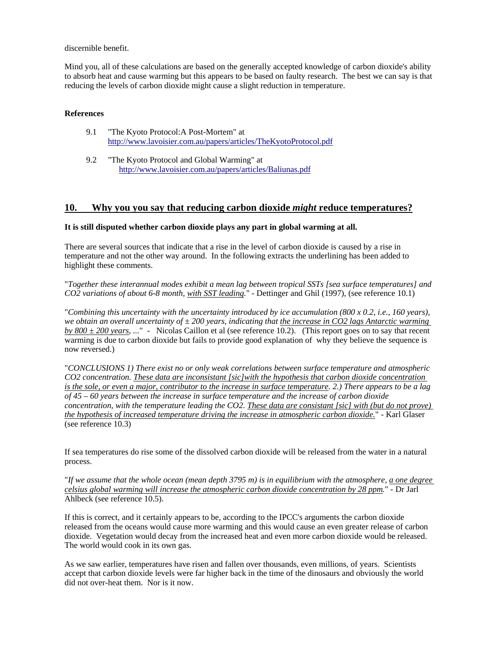discernible benefit.

Mind you, all of these calculations are based on the generally accepted knowledge of carbon dioxide's ability to absorb heat and cause warming but this appears to be based on faulty research. The best we can say is that reducing the levels of carbon dioxide might cause a slight reduction in temperature.

#### **References**

- 9.1 "The Kyoto Protocol:A Post-Mortem" at <http://www.lavoisier.com.au/papers/articles/TheKyotoProtocol.pdf>
- 9.2 "The Kyoto Protocol and Global Warming" at <http://www.lavoisier.com.au/papers/articles/Baliunas.pdf>

## **10. Why you you say that reducing carbon dioxide** *might* **reduce temperatures?**

#### **It is still disputed whether carbon dioxide plays any part in global warming at all.**

There are several sources that indicate that a rise in the level of carbon dioxide is caused by a rise in temperature and not the other way around. In the following extracts the underlining has been added to highlight these comments.

"*Together these interannual modes exhibit a mean lag between tropical SSTs [sea surface temperatures] and CO2 variations of about 6-8 month, with SST leading.*" - Dettinger and Ghil (1997), (see reference 10.1)

"*Combining this uncertainty with the uncertainty introduced by ice accumulation (800 x 0.2, i.e., 160 years), we obtain an overall uncertainty of ± 200 years, indicating that the increase in CO2 lags Antarctic warming*   $by 800 \pm 200$  years, ..." - Nicolas Caillon et al (see reference  $10.2$ ). (This report goes on to say that recent warming is due to carbon dioxide but fails to provide good explanation of why they believe the sequence is now reversed.)

"*CONCLUSIONS 1) There exist no or only weak correlations between surface temperature and atmospheric CO2 concentration. These data are inconsistant [sic]with the hypothesis that carbon dioxide concentration is the sole, or even a major, contributor to the increase in surface temperature. 2.) There appears to be a lag of 45 – 60 years between the increase in surface temperature and the increase of carbon dioxide concentration, with the temperature leading the CO2. These data are consistant [sic] with (but do not prove) the hypothesis of increased temperature driving the increase in atmospheric carbon dioxide.*" - Karl Glaser (see reference 10.3)

If sea temperatures do rise some of the dissolved carbon dioxide will be released from the water in a natural process.

"*If we assume that the whole ocean (mean depth 3795 m) is in equilibrium with the atmosphere, a one degree celsius global warming will increase the atmospheric carbon dioxide concentration by 28 ppm.*" - Dr Jarl Ahlbeck (see reference 10.5).

If this is correct, and it certainly appears to be, according to the IPCC's arguments the carbon dioxide released from the oceans would cause more warming and this would cause an even greater release of carbon dioxide. Vegetation would decay from the increased heat and even more carbon dioxide would be released. The world would cook in its own gas.

As we saw earlier, temperatures have risen and fallen over thousands, even millions, of years. Scientists accept that carbon dioxide levels were far higher back in the time of the dinosaurs and obviously the world did not over-heat them. Nor is it now.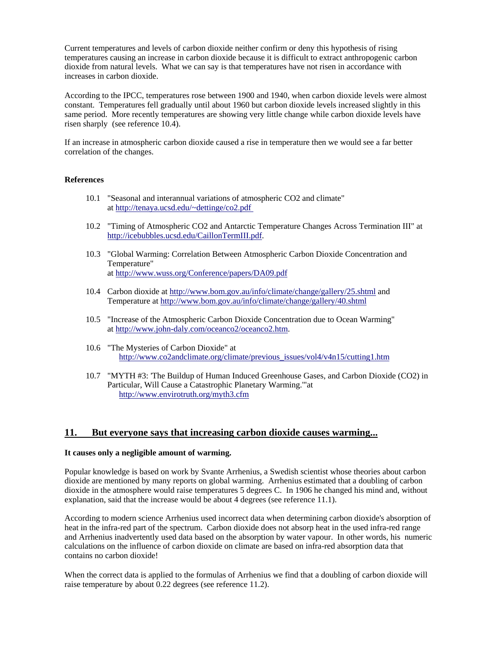Current temperatures and levels of carbon dioxide neither confirm or deny this hypothesis of rising temperatures causing an increase in carbon dioxide because it is difficult to extract anthropogenic carbon dioxide from natural levels. What we can say is that temperatures have not risen in accordance with increases in carbon dioxide.

According to the IPCC, temperatures rose between 1900 and 1940, when carbon dioxide levels were almost constant. Temperatures fell gradually until about 1960 but carbon dioxide levels increased slightly in this same period. More recently temperatures are showing very little change while carbon dioxide levels have risen sharply (see reference 10.4).

If an increase in atmospheric carbon dioxide caused a rise in temperature then we would see a far better correlation of the changes.

## **References**

- 10.1 "Seasonal and interannual variations of atmospheric CO2 and climate" at <http://tenaya.ucsd.edu/~dettinge/co2.pdf>
- 10.2 "Timing of Atmospheric CO2 and Antarctic Temperature Changes Across Termination III" at [http://icebubbles.ucsd.edu/CaillonTermIII.pdf.](http://icebubbles.ucsd.edu/CaillonTermIII.pdf)
- 10.3 "Global Warming: Correlation Between Atmospheric Carbon Dioxide Concentration and Temperature" at <http://www.wuss.org/Conference/papers/DA09.pdf>
- 10.4 Carbon dioxide at<http://www.bom.gov.au/info/climate/change/gallery/25.shtml> and Temperature at <http://www.bom.gov.au/info/climate/change/gallery/40.shtml>
- 10.5 "Increase of the Atmospheric Carbon Dioxide Concentration due to Ocean Warming" at [http://www.john-daly.com/oceanco2/oceanco2.htm.](http://www.john-daly.com/oceanco2/oceanco2.htm)
- 10.6 "The Mysteries of Carbon Dioxide" at [http://www.co2andclimate.org/climate/previous\\_issues/vol4/v4n15/cutting1.htm](http://www.co2andclimate.org/climate/previous_issues/vol4/v4n15/cutting1.htm)
- 10.7 "MYTH #3: 'The Buildup of Human Induced Greenhouse Gases, and Carbon Dioxide (CO2) in Particular, Will Cause a Catastrophic Planetary Warming.'"at <http://www.envirotruth.org/myth3.cfm>

# **11. But everyone says that increasing carbon dioxide causes warming...**

#### **It causes only a negligible amount of warming.**

Popular knowledge is based on work by Svante Arrhenius, a Swedish scientist whose theories about carbon dioxide are mentioned by many reports on global warming. Arrhenius estimated that a doubling of carbon dioxide in the atmosphere would raise temperatures 5 degrees C. In 1906 he changed his mind and, without explanation, said that the increase would be about 4 degrees (see reference 11.1).

According to modern science Arrhenius used incorrect data when determining carbon dioxide's absorption of heat in the infra-red part of the spectrum. Carbon dioxide does not absorp heat in the used infra-red range and Arrhenius inadvertently used data based on the absorption by water vapour. In other words, his numeric calculations on the influence of carbon dioxide on climate are based on infra-red absorption data that contains no carbon dioxide!

When the correct data is applied to the formulas of Arrhenius we find that a doubling of carbon dioxide will raise temperature by about 0.22 degrees (see reference 11.2).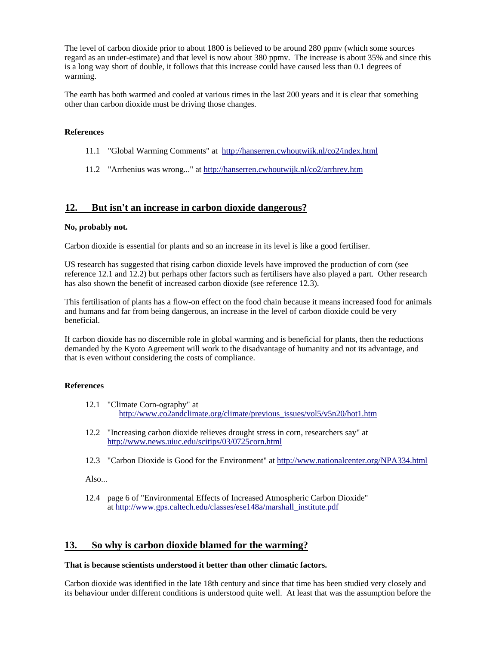The level of carbon dioxide prior to about 1800 is believed to be around 280 ppmv (which some sources regard as an under-estimate) and that level is now about 380 ppmv. The increase is about 35% and since this is a long way short of double, it follows that this increase could have caused less than 0.1 degrees of warming.

The earth has both warmed and cooled at various times in the last 200 years and it is clear that something other than carbon dioxide must be driving those changes.

#### **References**

- 11.1 "Global Warming Comments" at <http://hanserren.cwhoutwijk.nl/co2/index.html>
- 11.2 "Arrhenius was wrong..." at <http://hanserren.cwhoutwijk.nl/co2/arrhrev.htm>

## **12. But isn't an increase in carbon dioxide dangerous?**

#### **No, probably not.**

Carbon dioxide is essential for plants and so an increase in its level is like a good fertiliser.

US research has suggested that rising carbon dioxide levels have improved the production of corn (see reference 12.1 and 12.2) but perhaps other factors such as fertilisers have also played a part. Other research has also shown the benefit of increased carbon dioxide (see reference 12.3).

This fertilisation of plants has a flow-on effect on the food chain because it means increased food for animals and humans and far from being dangerous, an increase in the level of carbon dioxide could be very beneficial.

If carbon dioxide has no discernible role in global warming and is beneficial for plants, then the reductions demanded by the Kyoto Agreement will work to the disadvantage of humanity and not its advantage, and that is even without considering the costs of compliance.

#### **References**

- 12.1 "Climate Corn-ography" at [http://www.co2andclimate.org/climate/previous\\_issues/vol5/v5n20/hot1.htm](http://www.co2andclimate.org/climate/previous_issues/vol5/v5n20/hot1.htm)
- 12.2 "Increasing carbon dioxide relieves drought stress in corn, researchers say" at <http://www.news.uiuc.edu/scitips/03/0725corn.html>
- 12.3 "Carbon Dioxide is Good for the Environment" at<http://www.nationalcenter.org/NPA334.html>

Also...

12.4 page 6 of "Environmental Effects of Increased Atmospheric Carbon Dioxide" at [http://www.gps.caltech.edu/classes/ese148a/marshall\\_institute.pdf](http://www.gps.caltech.edu/classes/ese148a/marshall_institute.pdf)

# **13. So why is carbon dioxide blamed for the warming?**

#### **That is because scientists understood it better than other climatic factors.**

Carbon dioxide was identified in the late 18th century and since that time has been studied very closely and its behaviour under different conditions is understood quite well. At least that was the assumption before the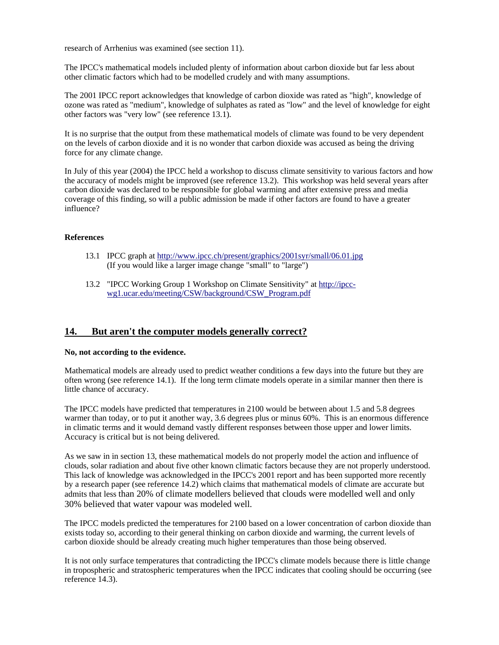research of Arrhenius was examined (see section 11).

The IPCC's mathematical models included plenty of information about carbon dioxide but far less about other climatic factors which had to be modelled crudely and with many assumptions.

The 2001 IPCC report acknowledges that knowledge of carbon dioxide was rated as "high", knowledge of ozone was rated as "medium", knowledge of sulphates as rated as "low" and the level of knowledge for eight other factors was "very low" (see reference 13.1).

It is no surprise that the output from these mathematical models of climate was found to be very dependent on the levels of carbon dioxide and it is no wonder that carbon dioxide was accused as being the driving force for any climate change.

In July of this year (2004) the IPCC held a workshop to discuss climate sensitivity to various factors and how the accuracy of models might be improved (see reference 13.2). This workshop was held several years after carbon dioxide was declared to be responsible for global warming and after extensive press and media coverage of this finding, so will a public admission be made if other factors are found to have a greater influence?

#### **References**

- 13.1 IPCC graph at <http://www.ipcc.ch/present/graphics/2001syr/small/06.01.jpg> (If you would like a larger image change "small" to "large")
- 13.2 ["IPCC Working Group 1 Workshop on Climate Sensitivity" at http://ipcc](http://ipcc-wg1)wg1.ucar.edu/meeting/CSW/background/CSW\_Program.pdf

# **14. But aren't the computer models generally correct?**

#### **No, not according to the evidence.**

Mathematical models are already used to predict weather conditions a few days into the future but they are often wrong (see reference 14.1). If the long term climate models operate in a similar manner then there is little chance of accuracy.

The IPCC models have predicted that temperatures in 2100 would be between about 1.5 and 5.8 degrees warmer than today, or to put it another way, 3.6 degrees plus or minus 60%. This is an enormous difference in climatic terms and it would demand vastly different responses between those upper and lower limits. Accuracy is critical but is not being delivered.

As we saw in in section 13, these mathematical models do not properly model the action and influence of clouds, solar radiation and about five other known climatic factors because they are not properly understood. This lack of knowledge was acknowledged in the IPCC's 2001 report and has been supported more recently by a research paper (see reference 14.2) which claims that mathematical models of climate are accurate but admits that less than 20% of climate modellers believed that clouds were modelled well and only 30% believed that water vapour was modeled well.

The IPCC models predicted the temperatures for 2100 based on a lower concentration of carbon dioxide than exists today so, according to their general thinking on carbon dioxide and warming, the current levels of carbon dioxide should be already creating much higher temperatures than those being observed.

It is not only surface temperatures that contradicting the IPCC's climate models because there is little change in tropospheric and stratospheric temperatures when the IPCC indicates that cooling should be occurring (see reference 14.3).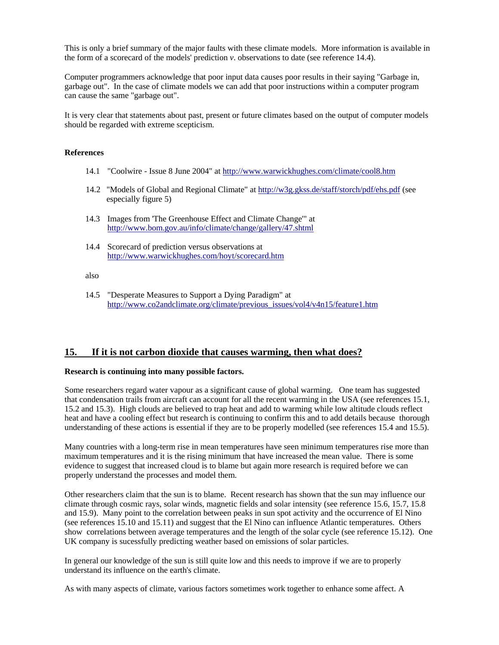This is only a brief summary of the major faults with these climate models. More information is available in the form of a scorecard of the models' prediction  $\nu$ . observations to date (see reference 14.4).

Computer programmers acknowledge that poor input data causes poor results in their saying "Garbage in, garbage out". In the case of climate models we can add that poor instructions within a computer program can cause the same "garbage out".

It is very clear that statements about past, present or future climates based on the output of computer models should be regarded with extreme scepticism.

#### **References**

- 14.1 "Coolwire Issue 8 June 2004" at<http://www.warwickhughes.com/climate/cool8.htm>
- 14.2 "Models of Global and Regional Climate" at <http://w3g.gkss.de/staff/storch/pdf/ehs.pdf> (see especially figure 5)
- 14.3 Images from 'The Greenhouse Effect and Climate Change'" at <http://www.bom.gov.au/info/climate/change/gallery/47.shtml>
- 14.4 Scorecard of prediction versus observations at <http://www.warwickhughes.com/hoyt/scorecard.htm>

also

14.5 "Desperate Measures to Support a Dying Paradigm" at [http://www.co2andclimate.org/climate/previous\\_issues/vol4/v4n15/feature1.htm](http://www.co2andclimate.org/climate/previous_issues/vol4/v4n15/feature1.htm)

# **15. If it is not carbon dioxide that causes warming, then what does?**

#### **Research is continuing into many possible factors.**

Some researchers regard water vapour as a significant cause of global warming. One team has suggested that condensation trails from aircraft can account for all the recent warming in the USA (see references 15.1, 15.2 and 15.3). High clouds are believed to trap heat and add to warming while low altitude clouds reflect heat and have a cooling effect but research is continuing to confirm this and to add details because thorough understanding of these actions is essential if they are to be properly modelled (see references 15.4 and 15.5).

Many countries with a long-term rise in mean temperatures have seen minimum temperatures rise more than maximum temperatures and it is the rising minimum that have increased the mean value. There is some evidence to suggest that increased cloud is to blame but again more research is required before we can properly understand the processes and model them.

Other researchers claim that the sun is to blame. Recent research has shown that the sun may influence our climate through cosmic rays, solar winds, magnetic fields and solar intensity (see reference 15.6, 15.7, 15.8 and 15.9). Many point to the correlation between peaks in sun spot activity and the occurrence of El Nino (see references 15.10 and 15.11) and suggest that the El Nino can influence Atlantic temperatures. Others show correlations between average temperatures and the length of the solar cycle (see reference 15.12). One UK company is sucessfully predicting weather based on emissions of solar particles.

In general our knowledge of the sun is still quite low and this needs to improve if we are to properly understand its influence on the earth's climate.

As with many aspects of climate, various factors sometimes work together to enhance some affect. A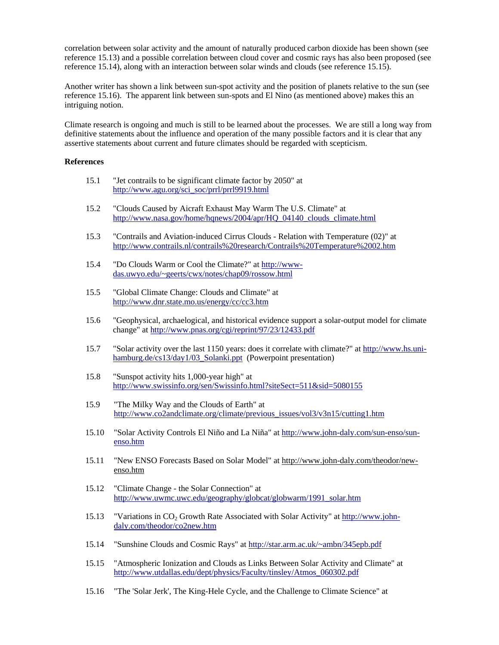correlation between solar activity and the amount of naturally produced carbon dioxide has been shown (see reference 15.13) and a possible correlation between cloud cover and cosmic rays has also been proposed (see reference 15.14), along with an interaction between solar winds and clouds (see reference 15.15).

Another writer has shown a link between sun-spot activity and the position of planets relative to the sun (see reference 15.16). The apparent link between sun-spots and El Nino (as mentioned above) makes this an intriguing notion.

Climate research is ongoing and much is still to be learned about the processes. We are still a long way from definitive statements about the influence and operation of the many possible factors and it is clear that any assertive statements about current and future climates should be regarded with scepticism.

#### **References**

- 15.1 "Jet contrails to be significant climate factor by 2050" at [http://www.agu.org/sci\\_soc/prrl/prrl9919.html](http://www.agu.org/sci_soc/prrl/prrl9919.html)
- 15.2 "Clouds Caused by Aicraft Exhaust May Warm The U.S. Climate" at [http://www.nasa.gov/home/hqnews/2004/apr/HQ\\_04140\\_clouds\\_climate.html](http://www.nasa.gov/home/hqnews/2004/apr/HQ_04140_clouds_climate.html)
- 15.3 "Contrails and Aviation-induced Cirrus Clouds Relation with Temperature (02)" at <http://www.contrails.nl/contrails%20research/Contrails%20Temperature%2002.htm>
- 15.4 ["Do Clouds Warm or Cool the Climate?" at http://www](http://www-das)das.uwyo.edu/~geerts/cwx/notes/chap09/rossow.html
- 15.5 "Global Climate Change: Clouds and Climate" at <http://www.dnr.state.mo.us/energy/cc/cc3.htm>
- 15.6 "Geophysical, archaelogical, and historical evidence support a solar-output model for climate change" at <http://www.pnas.org/cgi/reprint/97/23/12433.pdf>
- 15.7 ["Solar activity over the last 1150 years: does it correlate with climate?" at http://www.hs.uni](http://www.hs.uni-hamburg)hamburg.de/cs13/day1/03\_Solanki.ppt (Powerpoint presentation)
- 15.8 "Sunspot activity hits 1,000-year high" at <http://www.swissinfo.org/sen/Swissinfo.html?siteSect=511&sid=5080155>
- 15.9 "The Milky Way and the Clouds of Earth" at [http://www.co2andclimate.org/climate/previous\\_issues/vol3/v3n15/cutting1.htm](http://www.co2andclimate.org/climate/previous_issues/vol3/v3n15/cutting1.htm)
- 15.10 ["Solar Activity Controls El Niño and La Niña" at http://www.john-daly.com/sun-enso/sun](http://www.john-daly.com/sun-enso/sun-enso)enso.htm
- 15.11 ["New ENSO Forecasts Based on Solar Model" at http://www.john-daly.com/theodor/new](http://www.john-daly.com/theodor/new-enso)enso.htm
- 15.12 "Climate Change the Solar Connection" at [http://www.uwmc.uwc.edu/geography/globcat/globwarm/1991\\_solar.htm](http://www.uwmc.uwc.edu/geography/globcat/globwarm/1991_solar.htm)
- 15.13 ["Variations in CO2 Growth Rate Associated with Solar Activity" at http://www.john](http://www.john-daly)daly.com/theodor/co2new.htm
- 15.14 "Sunshine Clouds and Cosmic Rays" at<http://star.arm.ac.uk/~ambn/345epb.pdf>
- 15.15 "Atmospheric Ionization and Clouds as Links Between Solar Activity and Climate" at [http://www.utdallas.edu/dept/physics/Faculty/tinsley/Atmos\\_060302.pdf](http://www.utdallas.edu/dept/physics/Faculty/tinsley/Atmos_060302.pdf)
- 15.16 "The 'Solar Jerk', The King-Hele Cycle, and the Challenge to Climate Science" at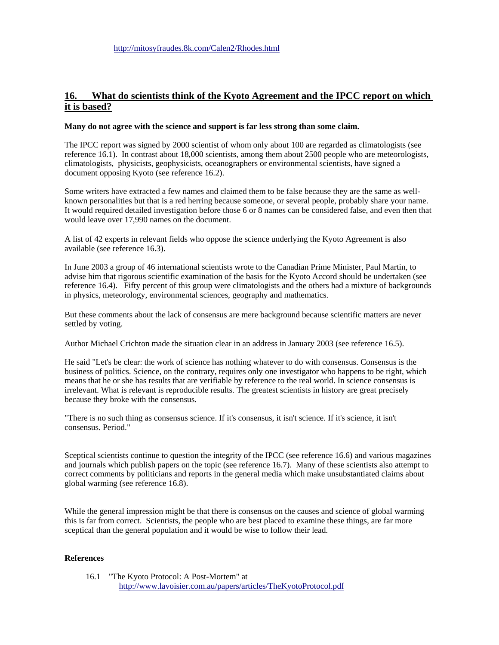# **16. What do scientists think of the Kyoto Agreement and the IPCC report on which it is based?**

#### **Many do not agree with the science and support is far less strong than some claim.**

The IPCC report was signed by 2000 scientist of whom only about 100 are regarded as climatologists (see reference 16.1). In contrast about 18,000 scientists, among them about 2500 people who are meteorologists, climatologists, physicists, geophysicists, oceanographers or environmental scientists, have signed a document opposing Kyoto (see reference 16.2).

Some writers have extracted a few names and claimed them to be false because they are the same as wellknown personalities but that is a red herring because someone, or several people, probably share your name. It would required detailed investigation before those 6 or 8 names can be considered false, and even then that would leave over 17,990 names on the document.

A list of 42 experts in relevant fields who oppose the science underlying the Kyoto Agreement is also available (see reference 16.3).

In June 2003 a group of 46 international scientists wrote to the Canadian Prime Minister, Paul Martin, to advise him that rigorous scientific examination of the basis for the Kyoto Accord should be undertaken (see reference 16.4). Fifty percent of this group were climatologists and the others had a mixture of backgrounds in physics, meteorology, environmental sciences, geography and mathematics.

But these comments about the lack of consensus are mere background because scientific matters are never settled by voting.

Author Michael Crichton made the situation clear in an address in January 2003 (see reference 16.5).

He said "Let's be clear: the work of science has nothing whatever to do with consensus. Consensus is the business of politics. Science, on the contrary, requires only one investigator who happens to be right, which means that he or she has results that are verifiable by reference to the real world. In science consensus is irrelevant. What is relevant is reproducible results. The greatest scientists in history are great precisely because they broke with the consensus.

"There is no such thing as consensus science. If it's consensus, it isn't science. If it's science, it isn't consensus. Period."

Sceptical scientists continue to question the integrity of the IPCC (see reference 16.6) and various magazines and journals which publish papers on the topic (see reference 16.7). Many of these scientists also attempt to correct comments by politicians and reports in the general media which make unsubstantiated claims about global warming (see reference 16.8).

While the general impression might be that there is consensus on the causes and science of global warming this is far from correct. Scientists, the people who are best placed to examine these things, are far more sceptical than the general population and it would be wise to follow their lead.

#### **References**

16.1 "The Kyoto Protocol: A Post-Mortem" at <http://www.lavoisier.com.au/papers/articles/TheKyotoProtocol.pdf>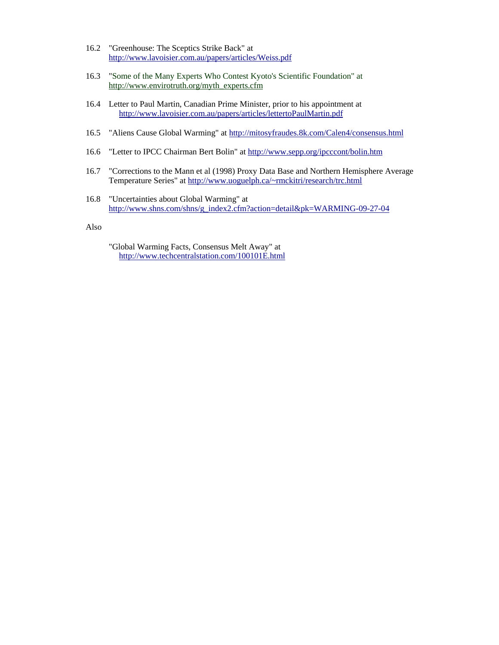- 16.2 "Greenhouse: The Sceptics Strike Back" at <http://www.lavoisier.com.au/papers/articles/Weiss.pdf>
- 16.3 "Some of the Many Experts Who Contest Kyoto's Scientific Foundation" at [http://www.envirotruth.org/myth\\_experts.cfm](http://www.envirotruth.org/myth_experts.cfm)
- 16.4 Letter to Paul Martin, Canadian Prime Minister, prior to his appointment at <http://www.lavoisier.com.au/papers/articles/lettertoPaulMartin.pdf>
- 16.5 "Aliens Cause Global Warming" at<http://mitosyfraudes.8k.com/Calen4/consensus.html>
- 16.6 "Letter to IPCC Chairman Bert Bolin" at<http://www.sepp.org/ipcccont/bolin.htm>
- 16.7 "Corrections to the Mann et al (1998) Proxy Data Base and Northern Hemisphere Average Temperature Series" at <http://www.uoguelph.ca/~rmckitri/research/trc.html>
- 16.8 "Uncertainties about Global Warming" at [http://www.shns.com/shns/g\\_index2.cfm?action=detail&pk=WARMING-09-27-04](http://www.shns.com/shns/g_index2.cfm?action=detail&pk=WARMING-09-27-04)

Also

 "Global Warming Facts, Consensus Melt Away" at <http://www.techcentralstation.com/100101E.html>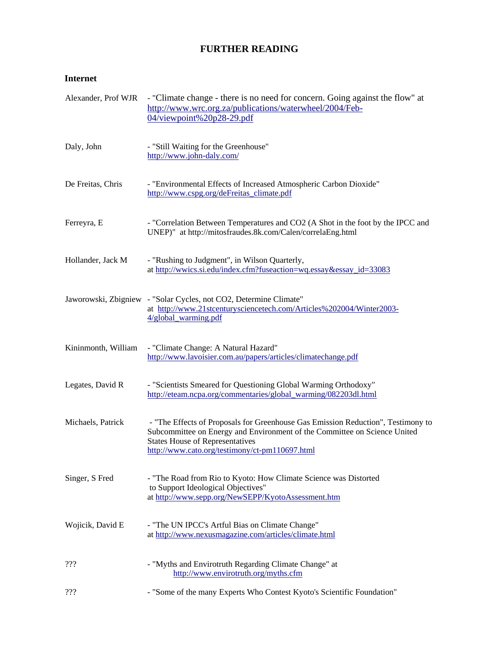# **FURTHER READING**

# **Internet**

| Alexander, Prof WJR | - "Climate change - there is no need for concern. Going against the flow" at<br>http://www.wrc.org.za/publications/waterwheel/2004/Feb-<br>04/viewpoint%20p28-29.pdf                                                                                      |
|---------------------|-----------------------------------------------------------------------------------------------------------------------------------------------------------------------------------------------------------------------------------------------------------|
| Daly, John          | - "Still Waiting for the Greenhouse"<br>http://www.john-daly.com/                                                                                                                                                                                         |
| De Freitas, Chris   | - "Environmental Effects of Increased Atmospheric Carbon Dioxide"<br>http://www.cspg.org/deFreitas_climate.pdf                                                                                                                                            |
| Ferreyra, E         | - "Correlation Between Temperatures and CO2 (A Shot in the foot by the IPCC and<br>UNEP)" at http://mitosfraudes.8k.com/Calen/correlaEng.html                                                                                                             |
| Hollander, Jack M   | - "Rushing to Judgment", in Wilson Quarterly,<br>at http://wwics.si.edu/index.cfm?fuseaction=wq.essay&essay_id=33083                                                                                                                                      |
|                     | Jaworowski, Zbigniew - "Solar Cycles, not CO2, Determine Climate"<br>at http://www.21stcenturysciencetech.com/Articles%202004/Winter2003-<br>4/global_warming.pdf                                                                                         |
| Kininmonth, William | - "Climate Change: A Natural Hazard"<br>http://www.lavoisier.com.au/papers/articles/climatechange.pdf                                                                                                                                                     |
| Legates, David R    | - "Scientists Smeared for Questioning Global Warming Orthodoxy"<br>http://eteam.ncpa.org/commentaries/global_warming/082203dl.html                                                                                                                        |
| Michaels, Patrick   | - "The Effects of Proposals for Greenhouse Gas Emission Reduction", Testimony to<br>Subcommittee on Energy and Environment of the Committee on Science United<br><b>States House of Representatives</b><br>http://www.cato.org/testimony/ct-pm110697.html |
| Singer, S Fred      | - "The Road from Rio to Kyoto: How Climate Science was Distorted<br>to Support Ideological Objectives"<br>at http://www.sepp.org/NewSEPP/KyotoAssessment.htm                                                                                              |
| Wojicik, David E    | - "The UN IPCC's Artful Bias on Climate Change"<br>at http://www.nexusmagazine.com/articles/climate.html                                                                                                                                                  |
| ???                 | - "Myths and Envirotruth Regarding Climate Change" at<br>http://www.envirotruth.org/myths.cfm                                                                                                                                                             |
| ???                 | - "Some of the many Experts Who Contest Kyoto's Scientific Foundation"                                                                                                                                                                                    |